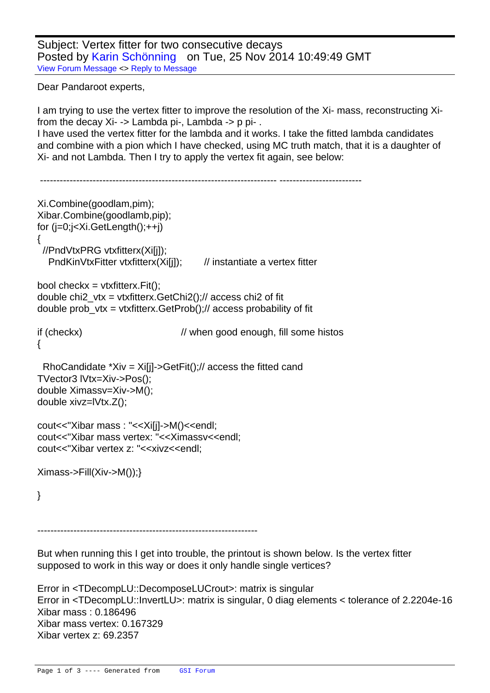Subject: Vertex fitter for two consecutive decays Posted by Karin Schönning on Tue, 25 Nov 2014 10:49:49 GMT View Forum Message <> Reply to Message

Dear Pandaroot experts,

```
I am trying to use the vertex fitter to improve the resolution of the Xi- mass, reconstructing Xi-
from the decay Xi-> Lambda pi-, Lambda -> p pi-.
```
I have used the vertex fitter for the lambda and it works. I take the fitted lambda candidates and combine with a pion which I have checked, using MC truth match, that it is a daughter of Xi- and not Lambda. Then I try to apply the vertex fit again, see below:

```
 ------------------------------------------------------------------------ -------------------------
	Xi.Combine(goodlam,pim);
 		Xibar.Combine(goodlamb,pip);
 		for (j=0;j<Xi.GetLength();++j) 
 		{
  		 //PndVtxPRG vtxfitterx(Xi[j]); 
   PndKinVtxFitter vtxfitterx(Xi[j]); \frac{1}{1} instantiate a vertex fitter
 bool checkx = vtxfitterx.Fit();
 double chi2 vtx = vtxfitterx.GetChi2(); // access chi2 of fit
 double prob_vtx = vtxfitterx.GetProb(); // access probability of fit
 if (checkx) \frac{1}{2} when good enough, fill some histos
 			{
   RhoCandidate *Xiv = Xi[i]->GetFit(); // access the fitted cand
  				TVector3 lVtx=Xiv->Pos();
  				double Ximassv=Xiv->M();
  				double xivz=lVtx.Z();
  				cout<<"Xibar mass : "<<Xi[j]->M()<<endl;	
  				cout<<"Xibar mass vertex: "<<Ximassv<<endl;
  cout<<"Xibar vertex z: "<<xivz<<endl;
  Ximass->Fill(Xiv->M));}
 		}
```
-------------------------------------------------------------------

But when running this I get into trouble, the printout is shown below. Is the vertex fitter supposed to work in this way or does it only handle single vertices?

Error in <TDecompLU::DecomposeLUCrout>: matrix is singular Error in <TDecompLU::InvertLU>: matrix is singular, 0 diag elements < tolerance of 2.2204e-16 Xibar mass : 0.186496 Xibar mass vertex: 0.167329 Xibar vertex z: 69.2357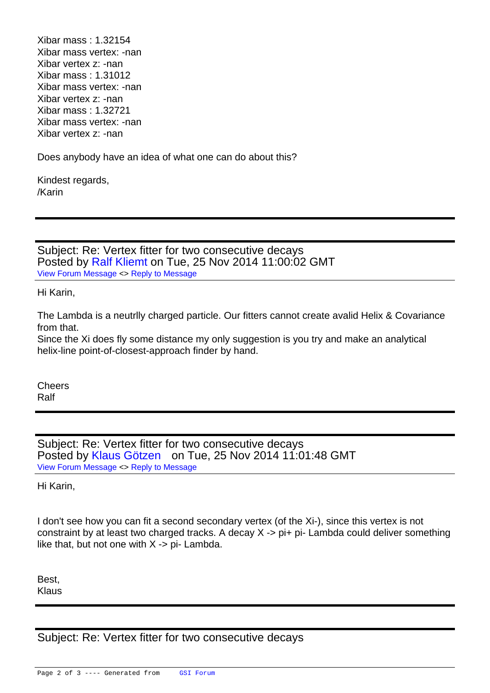Xibar mass : 1.32154 Xibar mass vertex: -nan Xibar vertex z: -nan Xibar mass : 1.31012 Xibar mass vertex: -nan Xibar vertex z: -nan Xibar mass : 1.32721 Xibar mass vertex: -nan Xibar vertex z: -nan

Does anybody have an idea of what one can do about this?

Kindest regards, /Karin

Subject: Re: Vertex fitter for two consecutive decays Posted by Ralf Kliemt on Tue, 25 Nov 2014 11:00:02 GMT View Forum Message <> Reply to Message

Hi Karin,

[The Lambda is a n](https://forum.gsi.de/index.php?t=rview&th=4486&goto=17574#msg_17574)eu[trlly charged pa](https://forum.gsi.de/index.php?t=post&reply_to=17574)rticle. Our fitters cannot create avalid Helix & Covariance from that.

Since the Xi does fly some distance my only suggestion is you try and make an analytical helix-line point-of-closest-approach finder by hand.

**Cheers** Ralf

Subject: Re: Vertex fitter for two consecutive decays Posted by Klaus Götzen on Tue, 25 Nov 2014 11:01:48 GMT View Forum Message <> Reply to Message

Hi Karin,

I don't see how you can fit a second secondary vertex (of the Xi-), since this vertex is not constraint by at least two charged tracks. A decay X -> pi+ pi- Lambda could deliver something like that, but not one with  $X \rightarrow pi$ - Lambda.

Best, Klaus

Subject: Re: Vertex fitter for two consecutive decays